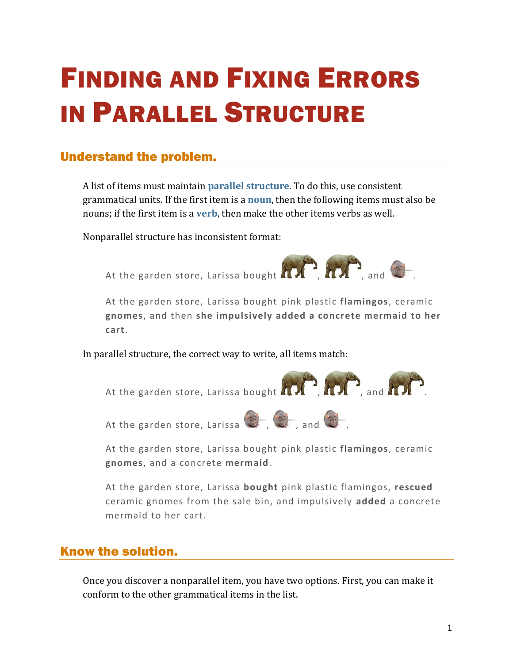# FINDING AND FIXING ERRORS IN PARALLEL STRUCTURE

## Understand the problem.

A list of items must maintain **[parallel structure](https://chompchomp.com/terms/parallelstructure.htm)**. To do this, use consistent grammatical units. If the first item is a **[noun](https://chompchomp.com/terms/noun.htm)**, then the following items must also be nouns; if the first item is a **[verb](https://chompchomp.com/terms/verb.htm)**, then make the other items verbs as well.

Nonparallel structure has inconsistent format:



At the garden store, Larissa bought pink plastic **flamingos**, ceramic **gnomes**, and then **she impulsively added a concrete mermaid to her cart**.

In parallel structure, the correct way to write, all items match:



At the garden store, Larissa bought pink plastic **flamingos**, ceramic **gnomes**, and a concrete **mermaid**.

At the garden store, Larissa **bought** pink plastic flamingos, **rescued** ceramic gnomes from the sale bin, and impulsively **added** a concrete mermaid to her cart.

## Know the solution.

Once you discover a nonparallel item, you have two options. First, you can make it conform to the other grammatical items in the list.